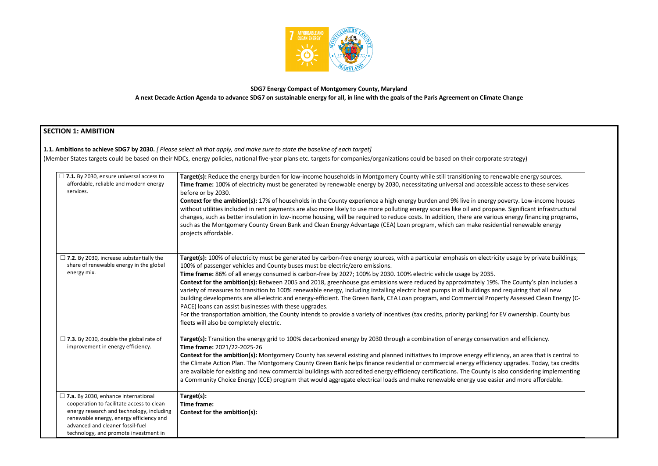

# **SDG7 Energy Compact of Montgomery County, Maryland A next Decade Action Agenda to advance SDG7 on sustainable energy for all, in line with the goals of the Paris Agreement on Climate Change**

# **SECTION 1: AMBITION**

**1.1. Ambitions to achieve SDG7 by 2030.** *[ Please select all that apply, and make sure to state the baseline of each target]* 

(Member States targets could be based on their NDCs, energy policies, national five-year plans etc. targets for companies/organizations could be based on their corporate strategy)

| $\Box$ 7.1. By 2030, ensure universal access to<br>affordable, reliable and modern energy<br>services.                                                                                                                                                       | Target(s): Reduce the energy burden for low-income households in Montgomery County while still transitioning to rer<br>Time frame: 100% of electricity must be generated by renewable energy by 2030, necessitating universal and accessib<br>before or by 2030.<br><b>Context for the ambition(s):</b> 17% of households in the County experience a high energy burden and 9% live in energy<br>without utilities included in rent payments are also more likely to use more polluting energy sources like oil and propa<br>changes, such as better insulation in low-income housing, will be required to reduce costs. In addition, there are vario<br>such as the Montgomery County Green Bank and Clean Energy Advantage (CEA) Loan program, which can make reside<br>projects affordable.                                                                                                                                      |
|--------------------------------------------------------------------------------------------------------------------------------------------------------------------------------------------------------------------------------------------------------------|-------------------------------------------------------------------------------------------------------------------------------------------------------------------------------------------------------------------------------------------------------------------------------------------------------------------------------------------------------------------------------------------------------------------------------------------------------------------------------------------------------------------------------------------------------------------------------------------------------------------------------------------------------------------------------------------------------------------------------------------------------------------------------------------------------------------------------------------------------------------------------------------------------------------------------------|
| $\Box$ 7.2. By 2030, increase substantially the<br>share of renewable energy in the global<br>energy mix.                                                                                                                                                    | Target(s): 100% of electricity must be generated by carbon-free energy sources, with a particular emphasis on electric<br>100% of passenger vehicles and County buses must be electric/zero emissions.<br>Time frame: 86% of all energy consumed is carbon-free by 2027; 100% by 2030. 100% electric vehicle usage by 2035.<br>Context for the ambition(s): Between 2005 and 2018, greenhouse gas emissions were reduced by approximately 19%<br>variety of measures to transition to 100% renewable energy, including installing electric heat pumps in all buildings an<br>building developments are all-electric and energy-efficient. The Green Bank, CEA Loan program, and Commercial Prop<br>PACE) loans can assist businesses with these upgrades.<br>For the transportation ambition, the County intends to provide a variety of incentives (tax credits, priority parking) for<br>fleets will also be completely electric. |
| $\Box$ 7.3. By 2030, double the global rate of<br>improvement in energy efficiency.                                                                                                                                                                          | Target(s): Transition the energy grid to 100% decarbonized energy by 2030 through a combination of energy conserva<br>Time frame: 2021/22-2025-26<br>Context for the ambition(s): Montgomery County has several existing and planned initiatives to improve energy efficion<br>the Climate Action Plan. The Montgomery County Green Bank helps finance residential or commercial energy efficienc<br>are available for existing and new commercial buildings with accredited energy efficiency certifications. The County is<br>a Community Choice Energy (CCE) program that would aggregate electrical loads and make renewable energy use easi                                                                                                                                                                                                                                                                                    |
| $\Box$ 7.a. By 2030, enhance international<br>cooperation to facilitate access to clean<br>energy research and technology, including<br>renewable energy, energy efficiency and<br>advanced and cleaner fossil-fuel<br>technology, and promote investment in | Target(s):<br>Time frame:<br>Context for the ambition(s):                                                                                                                                                                                                                                                                                                                                                                                                                                                                                                                                                                                                                                                                                                                                                                                                                                                                           |

rewable energy sources. ole access to these services

poverty. Low-income houses ane. Significant infrastructural ous energy financing programs, ential renewable energy

tity usage by private buildings;

. The County's plan includes a d requiring that all new berty Assessed Clean Energy (C-

FOR ownership. County bus

**The energy settion and efficiency.** 

**Contain** iency, an area that is central to cy upgrades. Today, tax credits in also considering implementing ier and more affordable.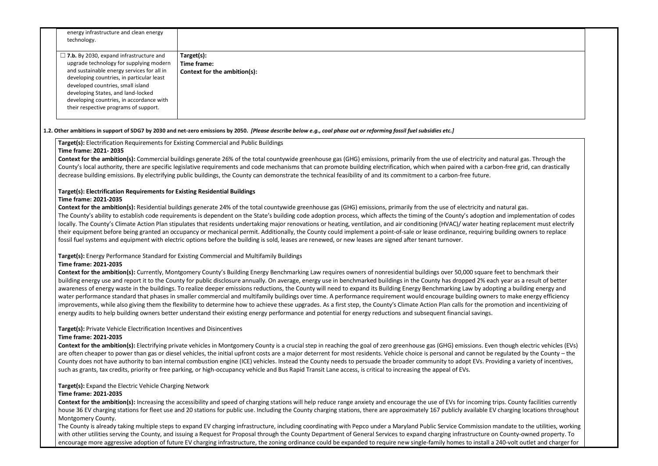| energy infrastructure and clean energy<br>technology.                                                                                                                                                                                                                                                                                                |                                                                                                                                                                                                                                                                                                                                                                                                                                                                                                                                                                                                                                                                                                                                                                                                                                                                                                                                                                                                                                                                                                                                                 |
|------------------------------------------------------------------------------------------------------------------------------------------------------------------------------------------------------------------------------------------------------------------------------------------------------------------------------------------------------|-------------------------------------------------------------------------------------------------------------------------------------------------------------------------------------------------------------------------------------------------------------------------------------------------------------------------------------------------------------------------------------------------------------------------------------------------------------------------------------------------------------------------------------------------------------------------------------------------------------------------------------------------------------------------------------------------------------------------------------------------------------------------------------------------------------------------------------------------------------------------------------------------------------------------------------------------------------------------------------------------------------------------------------------------------------------------------------------------------------------------------------------------|
| $\Box$ 7.b. By 2030, expand infrastructure and<br>upgrade technology for supplying modern<br>and sustainable energy services for all in<br>developing countries, in particular least<br>developed countries, small island<br>developing States, and land-locked<br>developing countries, in accordance with<br>their respective programs of support. | Target(s):<br>Time frame:<br>Context for the ambition(s):                                                                                                                                                                                                                                                                                                                                                                                                                                                                                                                                                                                                                                                                                                                                                                                                                                                                                                                                                                                                                                                                                       |
|                                                                                                                                                                                                                                                                                                                                                      | 1.2. Other ambitions in support of SDG7 by 2030 and net-zero emissions by 2050. [Please describe below e.g., coal phase out or reforming fossil fuel subsidies etc.]                                                                                                                                                                                                                                                                                                                                                                                                                                                                                                                                                                                                                                                                                                                                                                                                                                                                                                                                                                            |
| Target(s): Electrification Requirements for Existing Commercial and Public Buildings<br>Time frame: 2021-2035                                                                                                                                                                                                                                        |                                                                                                                                                                                                                                                                                                                                                                                                                                                                                                                                                                                                                                                                                                                                                                                                                                                                                                                                                                                                                                                                                                                                                 |
|                                                                                                                                                                                                                                                                                                                                                      | Context for the ambition(s): Commercial buildings generate 26% of the total countywide greenhouse gas (GHG) emissions, primarily from the use of electricity and natural gas. Through the<br>County's local authority, there are specific legislative requirements and code mechanisms that can promote building electrification, which when paired with a carbon-free grid, can drastically<br>decrease building emissions. By electrifying public buildings, the County can demonstrate the technical feasibility of and its commitment to a carbon-free future.                                                                                                                                                                                                                                                                                                                                                                                                                                                                                                                                                                              |
| Target(s): Electrification Requirements for Existing Residential Buildings<br>Time frame: 2021-2035                                                                                                                                                                                                                                                  |                                                                                                                                                                                                                                                                                                                                                                                                                                                                                                                                                                                                                                                                                                                                                                                                                                                                                                                                                                                                                                                                                                                                                 |
|                                                                                                                                                                                                                                                                                                                                                      | Context for the ambition(s): Residential buildings generate 24% of the total countywide greenhouse gas (GHG) emissions, primarily from the use of electricity and natural gas.<br>The County's ability to establish code requirements is dependent on the State's building code adoption process, which affects the timing of the County's adoption and implementation of codes<br>locally. The County's Climate Action Plan stipulates that residents undertaking major renovations or heating, ventilation, and air conditioning (HVAC)/ water heating replacement must electrify<br>their equipment before being granted an occupancy or mechanical permit. Additionally, the County could implement a point-of-sale or lease ordinance, requiring building owners to replace<br>fossil fuel systems and equipment with electric options before the building is sold, leases are renewed, or new leases are signed after tenant turnover.                                                                                                                                                                                                    |
|                                                                                                                                                                                                                                                                                                                                                      | Target(s): Energy Performance Standard for Existing Commercial and Multifamily Buildings                                                                                                                                                                                                                                                                                                                                                                                                                                                                                                                                                                                                                                                                                                                                                                                                                                                                                                                                                                                                                                                        |
| Time frame: 2021-2035                                                                                                                                                                                                                                                                                                                                | Context for the ambition(s): Currently, Montgomery County's Building Energy Benchmarking Law requires owners of nonresidential buildings over 50,000 square feet to benchmark their<br>building energy use and report it to the County for public disclosure annually. On average, energy use in benchmarked buildings in the County has dropped 2% each year as a result of better<br>awareness of energy waste in the buildings. To realize deeper emissions reductions, the County will need to expand its Building Energy Benchmarking Law by adopting a building energy and<br>water performance standard that phases in smaller commercial and multifamily buildings over time. A performance requirement would encourage building owners to make energy efficiency<br>improvements, while also giving them the flexibility to determine how to achieve these upgrades. As a first step, the County's Climate Action Plan calls for the promotion and incentivizing of<br>energy audits to help building owners better understand their existing energy performance and potential for energy reductions and subsequent financial savings. |
| Target(s): Private Vehicle Electrification Incentives and Disincentives                                                                                                                                                                                                                                                                              |                                                                                                                                                                                                                                                                                                                                                                                                                                                                                                                                                                                                                                                                                                                                                                                                                                                                                                                                                                                                                                                                                                                                                 |
| Time frame: 2021-2035                                                                                                                                                                                                                                                                                                                                |                                                                                                                                                                                                                                                                                                                                                                                                                                                                                                                                                                                                                                                                                                                                                                                                                                                                                                                                                                                                                                                                                                                                                 |
|                                                                                                                                                                                                                                                                                                                                                      | Context for the ambition(s): Electrifying private vehicles in Montgomery County is a crucial step in reaching the goal of zero greenhouse gas (GHG) emissions. Even though electric vehicles (EV<br>are often cheaper to power than gas or diesel vehicles, the initial upfront costs are a major deterrent for most residents. Vehicle choice is personal and cannot be regulated by the County - the<br>County does not have authority to ban internal combustion engine (ICE) vehicles. Instead the County needs to persuade the broader community to adopt EVs. Providing a variety of incentives,                                                                                                                                                                                                                                                                                                                                                                                                                                                                                                                                          |

Context for the ambition(s): Increasing the accessibility and speed of charging stations will help reduce range anxiety and encourage the use of EVs for incoming trips. County facilities currently house 36 EV charging stations for fleet use and 20 stations for public use. Including the County charging stations, there are approximately 167 publicly available EV charging locations throughout Montgomery County.

such as grants, tax credits, priority or free parking, or high-occupancy vehicle and Bus Rapid Transit Lane access, is critical to increasing the appeal of EVs.

**Target(s):** Expand the Electric Vehicle Charging Network **Time frame: 2021-2035**

The County is already taking multiple steps to expand EV charging infrastructure, including coordinating with Pepco under a Maryland Public Service Commission mandate to the utilities, working with other utilities serving the County, and issuing a Request for Proposal through the County Department of General Services to expand charging infrastructure on County-owned property. To encourage more aggressive adoption of future EV charging infrastructure, the zoning ordinance could be expanded to require new single-family homes to install a 240-volt outlet and charger for

nd natural gas. Through the rbon-free grid, can drastically n and implementation of codes ting replacement must electrify their equipment being grants grants grants grade an occupational permit. An occupational permit a point-of-sale o feet to benchmark their ich year as a result of better opting a building energy and ers to make energy efficiency omotion and incentivizing of en though electric vehicles (EVs) e regulated by the County – the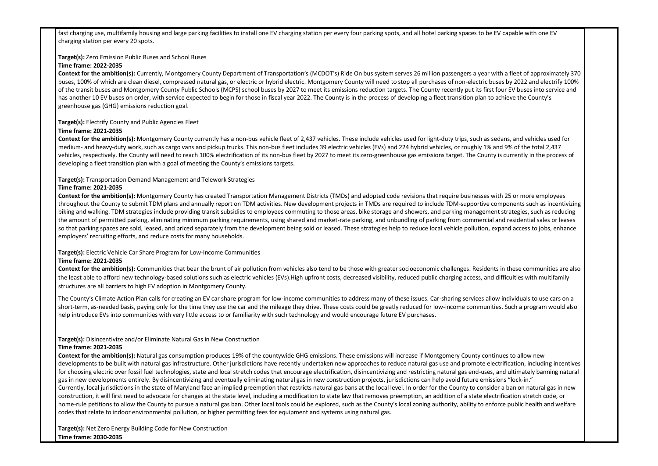fast charging use, multifamily housing and large parking facilities to install one EV charging station per every four parking spots, and all hotel parking spaces to be E charging station per every 20 spots.

**Target(s):** Zero Emission Public Buses and School Buses

## **Time frame: 2022-2035**

Context for the ambition(s): Currently, Montgomery County Department of Transportation's (MCDOT's) Ride On bus system serves 26 million passengers a year w buses, 100% of which are clean diesel, compressed natural gas, or electric or hybrid electric. Montgomery County will need to stop all purchases of non-electric bu of the transit buses and Montgomery County Public Schools (MCPS) school buses by 2027 to meet its emissions reduction targets. The County recently put its first has another 10 EV buses on order, with service expected to begin for those in fiscal year 2022. The County is in the process of developing a fleet transition plan to greenhouse gas (GHG) emissions reduction goal.

**Context for the ambition(s):** Montgomery County currently has a non-bus vehicle fleet of 2,437 vehicles. These include vehicles used for light-duty trips, such as sed medium- and heavy-duty work, such as cargo vans and pickup trucks. This non-bus fleet includes 39 electric vehicles (EVs) and 224 hybrid vehicles, or roughly 1% a vehicles, respectively. the County will need to reach 100% electrification of its non-bus fleet by 2027 to meet its zero-greenhouse gas emissions target. The County developing a fleet transition plan with a goal of meeting the County's emissions targets.

**Target(s):** Electrify County and Public Agencies Fleet

## **Time frame: 2021-2035**

**Context for the ambition(s):** Montgomery County has created Transportation Management Districts (TMDs) and adopted code revisions that require businesses w throughout the County to submit TDM plans and annually report on TDM activities. New development projects in TMDs are required to include TDM-supportive components of biking and walking. TDM strategies include providing transit subsidies to employees commuting to those areas, bike storage and showers, and parking managemer the amount of permitted parking, eliminating minimum parking requirements, using shared and market-rate parking, and unbundling of parking from commercial so that parking spaces are sold, leased, and priced separately from the development being sold or leased. These strategies help to reduce local vehicle pollution, expandiacly employers' recruiting efforts, and reduce costs for many households.

**Context for the ambition(s):** Communities that bear the brunt of air pollution from vehicles also tend to be those with greater socioeconomic challenges. Resident the least able to afford new technology-based solutions such as electric vehicles (EVs). High upfront costs, decreased visibility, reduced public charging access, and structures are all barriers to high EV adoption in Montgomery County.

**Target(s):** Transportation Demand Management and Telework Strategies

## **Time frame: 2021-2035**

The County's Climate Action Plan calls for creating an EV car share program for low-income communities to address many of these issues. Car-sharing services allow short-term, as-needed basis, paying only for the time they use the car and the mileage they drive. These costs could be greatly reduced for low-income communities. help introduce EVs into communities with very little access to or familiarity with such technology and would encourage future EV purchases.

Context for the ambition(s): Natural gas consumption produces 19% of the countywide GHG emissions. These emissions will increase if Montgomery County conti developments to be built with natural gas infrastructure. Other jurisdictions have recently undertaken new approaches to reduce natural gas use and promote electrications for choosing electric over fossil fuel technologies, state and local stretch codes that encourage electrification, disincentivizing and restricting natural gas end-uses, gas in new developments entirely. By disincentivizing and eventually eliminating natural gas in new construction projects, jurisdictions can help avoid future emissi Currently, local jurisdictions in the state of Maryland face an implied preemption that restricts natural gas bans at the local level. In order for the County to conside construction, it will first need to advocate for changes at the state level, including a modification to state law that removes preemption, an addition of a state elect home-rule petitions to allow the County to pursue a natural gas ban. Other local tools could be explored, such as the County's local zoning authority, ability to enfor codes that relate to indoor environmental pollution, or higher permitting fees for equipment and systems using natural gas.

## **Target(s):** Electric Vehicle Car Share Program for Low-Income Communities

## **Time frame: 2021-2035**

## **Target(s):** Disincentivize and/or Eliminate Natural Gas in New Construction

## **Time frame: 2021-2035**

**Target(s):** Net Zero Energy Building Code for New Construction **Time frame: 2030-2035**

| V capable with one EV                                                                                                                                                                                            |  |
|------------------------------------------------------------------------------------------------------------------------------------------------------------------------------------------------------------------|--|
| ith a fleet of approximately 370<br>ses by 2022 and electrify 100%<br>four EV buses into service and<br>achieve the County's                                                                                     |  |
| dans, and vehicles used for<br>nd 9% of the total 2,437<br>is currently in the process of                                                                                                                        |  |
| ith 25 or more employees<br>mponents such as incentivizing<br>nt strategies, such as reducing<br>and residential sales or leases<br>xpand access to jobs, enhance                                                |  |
| s in these communities are also<br>difficulties with multifamily                                                                                                                                                 |  |
| w individuals to use cars on a<br>es. Such a program would also                                                                                                                                                  |  |
| nues to allow new<br>ctrification, including incentives<br>and ultimately banning natural<br>ions "lock-in."<br>er a ban on natural gas in new<br>rification stretch code, or:<br>orce public health and welfare |  |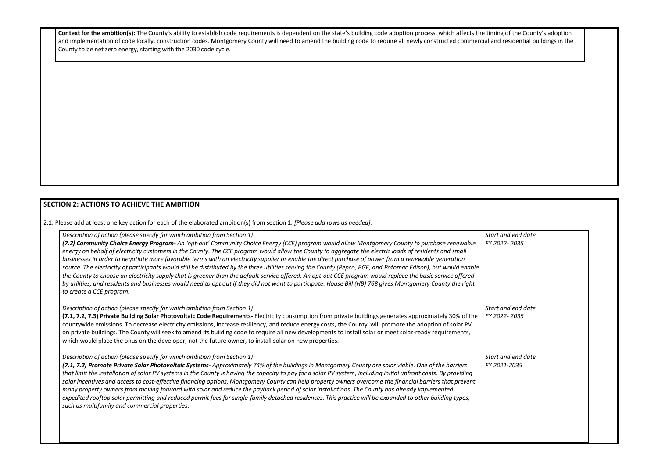Context for the ambition(s): The County's ability to establish code requirements is dependent on the state's building code adoption process, which affects the timing of the County's adoption  $|$  and implementation of code locally. construction codes. Montgomery County will need to amend the building code to require all newly constructed commercial and residential buildings in the County to be net zero energy, starting with the 2030 code cycle.

# **SECTION 2: ACTIONS TO ACHIEVE THE AMBITION**

2.1. Please add at least one key action for each of the elaborated ambition(s) from section 1. *[Please add rows as needed].*

| Description of action (please specify for which ambition from Section 1)                                                                                                                                                                                                                                                                                                                                                                                                                                                                                                                                                                                                                                                                                                                                                                                                                                                                                                                      | <b>Star</b>     |
|-----------------------------------------------------------------------------------------------------------------------------------------------------------------------------------------------------------------------------------------------------------------------------------------------------------------------------------------------------------------------------------------------------------------------------------------------------------------------------------------------------------------------------------------------------------------------------------------------------------------------------------------------------------------------------------------------------------------------------------------------------------------------------------------------------------------------------------------------------------------------------------------------------------------------------------------------------------------------------------------------|-----------------|
| (7.2) Community Choice Energy Program- An 'opt-out' Community Choice Energy (CCE) program would allow Montgomery County to purchase renewable<br>energy on behalf of electricity customers in the County. The CCE program would allow the County to aggregate the electric loads of residents and small<br>businesses in order to negotiate more favorable terms with an electricity supplier or enable the direct purchase of power from a renewable generation<br>source. The electricity of participants would still be distributed by the three utilities serving the County (Pepco, BGE, and Potomac Edison), but would enable<br>the County to choose an electricity supply that is greener than the default service offered. An opt-out CCE program would replace the basic service offered<br>by utilities, and residents and businesses would need to opt out if they did not want to participate. House Bill (HB) 768 gives Montgomery County the right<br>to create a CCE program. | FY <sub>2</sub> |
|                                                                                                                                                                                                                                                                                                                                                                                                                                                                                                                                                                                                                                                                                                                                                                                                                                                                                                                                                                                               |                 |
| Description of action (please specify for which ambition from Section 1)                                                                                                                                                                                                                                                                                                                                                                                                                                                                                                                                                                                                                                                                                                                                                                                                                                                                                                                      | <b>Star</b>     |
| (7.1, 7.2, 7.3) Private Building Solar Photovoltaic Code Requirements- Electricity consumption from private buildings generates approximately 30% of the<br>countywide emissions. To decrease electricity emissions, increase resiliency, and reduce energy costs, the County will promote the adoption of solar PV<br>on private buildings. The County will seek to amend its building code to require all new developments to install solar or meet solar-ready requirements,<br>which would place the onus on the developer, not the future owner, to install solar on new properties.                                                                                                                                                                                                                                                                                                                                                                                                     | FY2             |
| Description of action (please specify for which ambition from Section 1)                                                                                                                                                                                                                                                                                                                                                                                                                                                                                                                                                                                                                                                                                                                                                                                                                                                                                                                      | Star            |
| (7.1, 7.2) Promote Private Solar Photovoltaic Systems- Approximately 74% of the buildings in Montgomery County are solar viable. One of the barriers<br>that limit the installation of solar PV systems in the County is having the capacity to pay for a solar PV system, including initial upfront costs. By providing<br>solar incentives and access to cost-effective financing options, Montgomery County can help property owners overcome the financial barriers that prevent<br>many property owners from moving forward with solar and reduce the payback period of solar installations. The County has already implemented<br>expedited rooftop solar permitting and reduced permit fees for single-family detached residences. This practice will be expanded to other building types,<br>such as multifamily and commercial properties.                                                                                                                                           | FY2             |

| Start and end date<br>FY 2022-2035 |
|------------------------------------|
| Start and end date<br>FY 2022-2035 |
| Start and end date<br>FY 2021-2035 |
|                                    |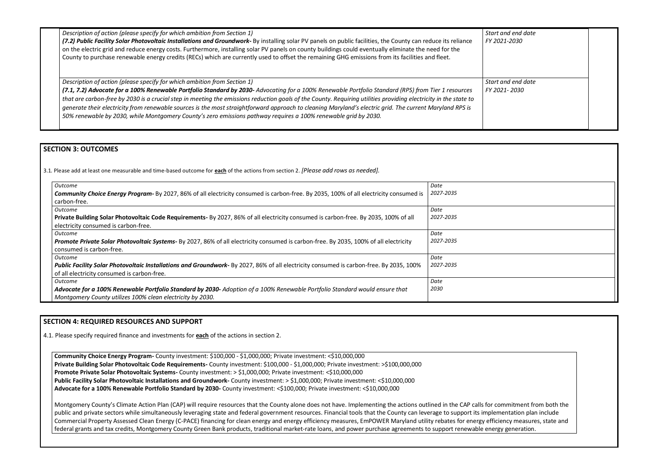| Description of action (please specify for which ambition from Section 1)<br>(7.2) Public Facility Solar Photovoltaic Installations and Groundwork- By installing solar PV panels on public facilities, the County can reduce its reliance<br>on the electric grid and reduce energy costs. Furthermore, installing solar PV panels on county buildings could eventually eliminate the need for the<br>County to purchase renewable energy credits (RECs) which are currently used to offset the remaining GHG emissions from its facilities and fleet.                                                                                                                             | <b>Start</b><br><b>FY 20</b> |
|------------------------------------------------------------------------------------------------------------------------------------------------------------------------------------------------------------------------------------------------------------------------------------------------------------------------------------------------------------------------------------------------------------------------------------------------------------------------------------------------------------------------------------------------------------------------------------------------------------------------------------------------------------------------------------|------------------------------|
| Description of action (please specify for which ambition from Section 1)<br>(7.1, 7.2) Advocate for a 100% Renewable Portfolio Standard by 2030- Advocating for a 100% Renewable Portfolio Standard (RPS) from Tier 1 resources<br>that are carbon-free by 2030 is a crucial step in meeting the emissions reduction goals of the County. Requiring utilities providing electricity in the state to<br>generate their electricity from renewable sources is the most straightforward approach to cleaning Maryland's electric grid. The current Maryland RPS is<br>50% renewable by 2030, while Montgomery County's zero emissions pathway requires a 100% renewable grid by 2030. | <b>Start</b><br><b>FY 20</b> |

| Start and end date<br>FY 2021-2030                                                                                 |  |
|--------------------------------------------------------------------------------------------------------------------|--|
| Start and end date<br>FY 2021-2030                                                                                 |  |
|                                                                                                                    |  |
|                                                                                                                    |  |
|                                                                                                                    |  |
|                                                                                                                    |  |
|                                                                                                                    |  |
|                                                                                                                    |  |
|                                                                                                                    |  |
|                                                                                                                    |  |
|                                                                                                                    |  |
|                                                                                                                    |  |
|                                                                                                                    |  |
|                                                                                                                    |  |
|                                                                                                                    |  |
| for commitment from both the<br>nplementation plan include<br>efficiency measures, state and<br>energy generation. |  |
|                                                                                                                    |  |

## **SECTION 3: OUTCOMES**

3.1*.* Please add at least one measurable and time-based outcome for **each** of the actions from section 2. *[Please add rows as needed].*

**Community Choice Energy Program-** County investment: \$100,000 - \$1,000,000; Private investment: <\$10,000,000 **Private Building Solar Photovoltaic Code Requirements-** County investment: \$100,000 - \$1,000,000; Private investment: >\$100,000,000 **Promote Private Solar Photovoltaic Systems-** County investment: > \$1,000,000; Private investment: <\$10,000,000 Public Facility Solar Photovoltaic Installations and Groundwork- County investment: > \$1,000,000; Private investment: <\$10,000,000 **Advocate for a 100% Renewable Portfolio Standard by 2030-** County investment: <\$100,000; Private investment: <\$10,000,000

Montgomery County's Climate Action Plan (CAP) will require resources that the County alone does not have. Implementing the actions outlined in the CAP calls for commitment from both the CAP calls for commitment from both t public and private sectors while simultaneously leveraging state and federal government resources. Financial tools that the County can leverage to support its impler Commercial Property Assessed Clean Energy (C-PACE) financing for clean energy and energy efficiency measures, EmPOWER Maryland utility rebates for energy effici federal grants and tax credits, Montgomery County Green Bank products, traditional market-rate loans, and power purchase agreements to support renewable energy

| <i><u>Outcome</u></i>                                                                                                                          | Date      |
|------------------------------------------------------------------------------------------------------------------------------------------------|-----------|
| <b>Community Choice Energy Program-</b> By 2027, 86% of all electricity consumed is carbon-free. By 2035, 100% of all electricity consumed is  | 2027-2035 |
| carbon-free.                                                                                                                                   |           |
| Outcome                                                                                                                                        | Date      |
| Private Building Solar Photovoltaic Code Requirements- By 2027, 86% of all electricity consumed is carbon-free. By 2035, 100% of all           | 2027-2035 |
| electricity consumed is carbon-free.                                                                                                           |           |
| <i><u>Outcome</u></i>                                                                                                                          | Date      |
| Promote Private Solar Photovoltaic Systems- By 2027, 86% of all electricity consumed is carbon-free. By 2035, 100% of all electricity          | 2027-2035 |
| consumed is carbon-free.                                                                                                                       |           |
| <i><u>Outcome</u></i>                                                                                                                          | Date      |
| <b>Public Facility Solar Photovoltaic Installations and Groundwork-</b> By 2027, 86% of all electricity consumed is carbon-free. By 2035, 100% | 2027-2035 |
| of all electricity consumed is carbon-free.                                                                                                    |           |
| <i><u>Outcome</u></i>                                                                                                                          | Date      |
| Advocate for a 100% Renewable Portfolio Standard by 2030- Adoption of a 100% Renewable Portfolio Standard would ensure that                    | 2030      |
| Montgomery County utilizes 100% clean electricity by 2030.                                                                                     |           |

# **SECTION 4: REQUIRED RESOURCES AND SUPPORT**

4.1. Please specify required finance and investments for **each** of the actions in section 2.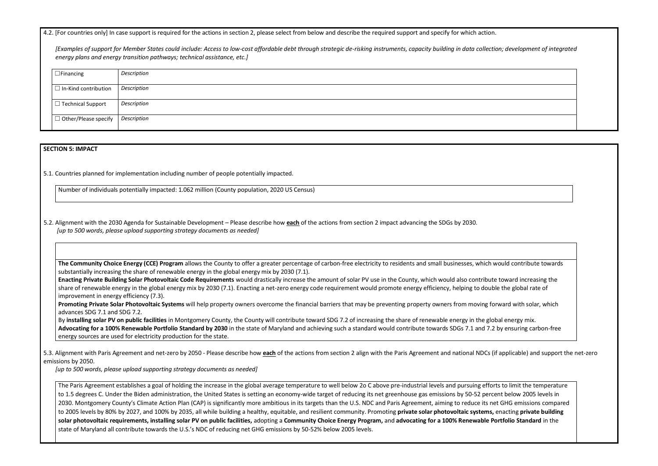4.2. [For countries only] In case support is required for the actions in section 2, please select from below and describe the required support and specify for which action.

*[Examples of support for Member States could include: Access to low-cost affordable debt through strategic de-risking instruments, capacity building in data collection; development of integrated energy plans and energy transition pathways; technical assistance, etc.]*

| $\Box$ Financing            | Description |
|-----------------------------|-------------|
| $\Box$ In-Kind contribution | Description |
| $\Box$ Technical Support    | Description |
| $\Box$ Other/Please specify | Description |

### **SECTION 5: IMPACT**

5.1. Countries planned for implementation including number of people potentially impacted.

Number of individuals potentially impacted: 1.062 million (County population, 2020 US Census)

5.2. Alignment with the 2030 Agenda for Sustainable Development – Please describe how **each** of the actions from section 2 impact advancing the SDGs by 2030. *[up to 500 words, please upload supporting strategy documents as needed]* 

Promoting Private Solar Photovoltaic Systems will help property owners overcome the financial barriers that may be preventing property owners from moving forward with solar, which advances SDG 7.1 and SDG 7.2.

**The Community Choice Energy (CCE) Program** allows the County to offer a greater percentage of carbon-free electricity to residents and small businesses, which would contribute towards substantially increasing the share of renewable energy in the global energy mix by 2030 (7.1).

**Enacting Private Building Solar Photovoltaic Code Requirements** would drastically increase the amount of solar PV use in the County, which would also contribute toward increasing the share of renewable energy in the global energy mix by 2030 (7.1). Enacting a net-zero energy code requirement would promote energy efficiency, helping to double the global rate of improvement in energy efficiency (7.3).

The Paris Agreement establishes a goal of holding the increase in the global average temperature to well below 2o C above pre-industrial levels and pursuing efforts to limit the temperature to 1.5 degrees C. Under the Biden administration, the United States is setting an economy-wide target of reducing its net greenhouse gas emissions by 50-52 percent below 2005 levels in 2030. Montgomery County's Climate Action Plan (CAP) is significantly more ambitious in its targets than the U.S. NDC and Paris Agreement, aiming to reduce its net GHG emissions compared to 2005 levels by 80% by 2027, and 100% by 2035, all while building a healthy, equitable, and resilient community. Promoting **private solar photovoltaic systems,** enacting **private building solar photovoltaic requirements, installing solar PV on public facilities,** adopting a **Community Choice Energy Program,** and **advocating for a 100% Renewable Portfolio Standard** in the state of Maryland all contribute towards the U.S.'s NDC of reducing net GHG emissions by 50-52% below 2005 levels.



By **installing solar PV on public facilities** in Montgomery County, the County will contribute toward SDG 7.2 of increasing the share of renewable energy in the global energy mix. **Advocating for a 100% Renewable Portfolio Standard by 2030** in the state of Maryland and achieving such a standard would contribute towards SDGs 7.1 and 7.2 by ensuring carbon-free energy sources are used for electricity production for the state.

5.3. Alignment with Paris Agreement and net-zero by 2050 - Please describe how **each** of the actions from section 2 align with the Paris Agreement and national NDCs (if applicable) and support the net-zero emissions by 2050.

*[up to 500 words, please upload supporting strategy documents as needed]*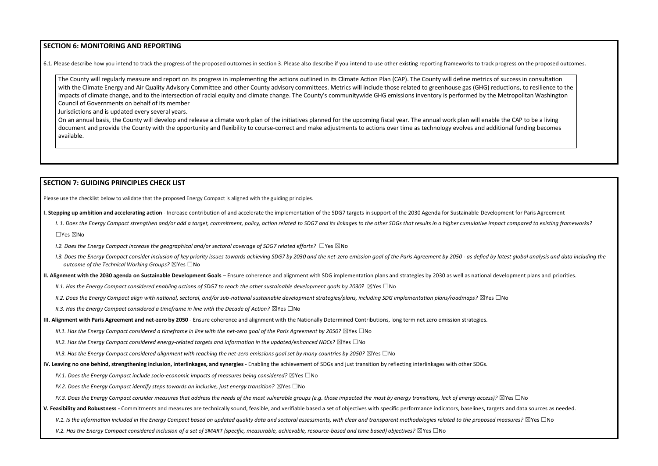## **SECTION 6: MONITORING AND REPORTING**

6.1. Please describe how you intend to track the progress of the proposed outcomes in section 3. Please also describe if you intend to use other existing reporting frameworks to track progress on the proposed outcomes.

The County will regularly measure and report on its progress in implementing the actions outlined in its Climate Action Plan (CAP). The County will define metrics of success in consultation with the Climate Energy and Air Quality Advisory Committee and other County advisory committees. Metrics will include those related to greenhouse gas (GHG) reductions, to resilience to the impacts of climate change, and to the intersection of racial equity and climate change. The County's communitywide GHG emissions inventory is performed by the Metropolitan Washington Council of Governments on behalf of its member

Jurisdictions and is updated every several years.

On an annual basis, the County will develop and release a climate work plan of the initiatives planned for the upcoming fiscal year. The annual work plan will enable the CAP to be a living document and provide the County with the opportunity and flexibility to course-correct and make adjustments to actions over time as technology evolves and additional funding becomes available.

## **SECTION 7: GUIDING PRINCIPLES CHECK LIST**

Please use the checklist below to validate that the proposed Energy Compact is aligned with the guiding principles.

- **I. Stepping up ambition and accelerating action** Increase contribution of and accelerate the implementation of the SDG7 targets in support of the 2030 Agenda for Sustainable Development for Paris Agreement
	- I. 1. Does the Energy Compact strengthen and/or add a target, commitment, policy, action related to SDG7 and its linkages to the other SDGs that results in a higher cumulative impact compared to existing frameworks? ☐Yes ☒No
	- *I.2. Does the Energy Compact increase the geographical and/or sectoral coverage of SDG7 related efforts?* ☐Yes ☒No
	- I.3. Does the Energy Compact consider inclusion of key priority issues towards achieving SDG7 by 2030 and the net-zero emission goal of the Paris Agreement by 2050 as defied by latest global analysis and data including t *outcome of the Technical Working Groups?* ☒Yes ☐No
- **II. Alignment with the 2030 agenda on Sustainable Development Goals** Ensure coherence and alignment with SDG implementation plans and strategies by 2030 as well as national development plans and priorities.
	- *II.1. Has the Energy Compact considered enabling actions of SDG7 to reach the other sustainable development goals by 2030?* ⊠Yes □No
	- *II.2. Does the Energy Compact align with national, sectoral, and/or sub-national sustainable development strategies/plans, including SDG implementation plans/roadmaps?* ☒Yes ☐No
	- *II.3. Has the Energy Compact considered a timeframe in line with the Decade of Action?* ⊠Yes □No
- **III. Alignment with Paris Agreement and net-zero by 2050** Ensure coherence and alignment with the Nationally Determined Contributions, long term net zero emission strategies.
	- *III.1. Has the Energy Compact considered a timeframe in line with the net-zero goal of the Paris Agreement by 2050?* ⊠Yes □No
	- *III.2. Has the Energy Compact considered energy-related targets and information in the updated/enhanced NDCs?* ⊠Yes □No
	- *III.3. Has the Energy Compact considered alignment with reaching the net-zero emissions goal set by many countries by 2050?* ⊠Yes □No
- **IV. Leaving no one behind, strengthening inclusion, interlinkages, and synergies** Enabling the achievement of SDGs and just transition by reflecting interlinkages with other SDGs.
	- *IV.1. Does the Energy Compact include socio-economic impacts of measures being considered?* ⊠Yes □No
	- *IV.2. Does the Energy Compact identify steps towards an inclusive, just energy transition?* ⊠Yes □No

*IV.3. Does the Energy Compact consider measures that address the needs of the most vulnerable groups (e.g. those impacted the most by energy transitions, lack of energy access)?* ⊠Yes □No

**V. Feasibility and Robustness -** Commitments and measures are technically sound, feasible, and verifiable based a set of objectives with specific performance indicators, baselines, targets and data sources as needed.

V.1. Is the information included in the Energy Compact based on updated quality data and sectoral assessments, with clear and transparent methodologies related to the proposed measures? ⊠Yes □No

*V.2. Has the Energy Compact considered inclusion of a set of SMART (specific, measurable, achievable, resource-based and time based) objectives?* ⊠Yes □No